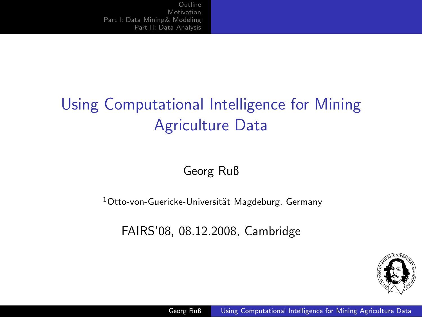# Using Computational Intelligence for Mining Agriculture Data

Georg Ruß

 $1$ Otto-von-Guericke-Universität Magdeburg, Germany

FAIRS'08, 08.12.2008, Cambridge

<span id="page-0-0"></span>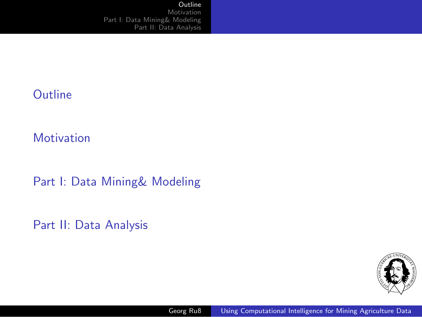#### **[Outline](#page-1-0)**

**[Motivation](#page-2-0)** 

[Part I: Data Mining& Modeling](#page-5-0)

[Part II: Data Analysis](#page-6-0)

<span id="page-1-0"></span>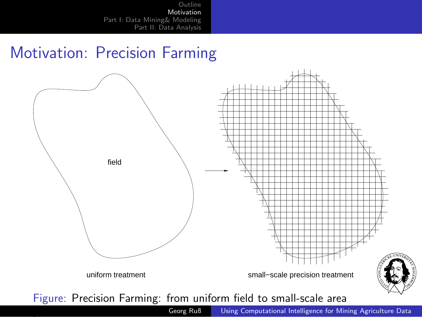### Motivation: Precision Farming



<span id="page-2-0"></span>

Georg Ruß [Using Computational Intelligence for Mining Agriculture Data](#page-0-0)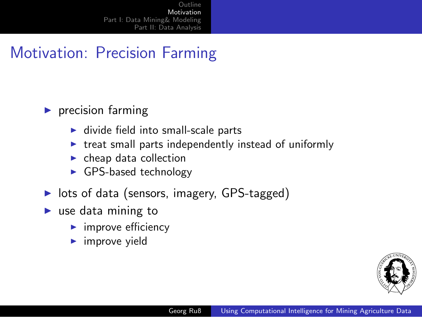### Motivation: Precision Farming

#### $\blacktriangleright$  precision farming

- $\blacktriangleright$  divide field into small-scale parts
- $\triangleright$  treat small parts independently instead of uniformly
- $\blacktriangleright$  cheap data collection
- ► GPS-based technology
- ▶ lots of data (sensors, imagery, GPS-tagged)
- $\blacktriangleright$  use data mining to
	- $\blacktriangleright$  improve efficiency
	- $\blacktriangleright$  improve yield

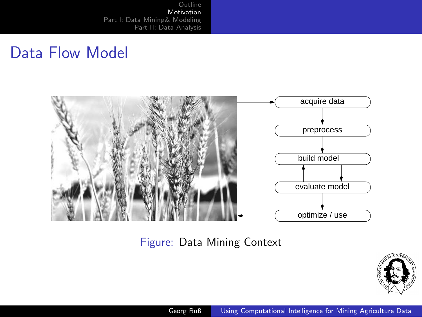### Data Flow Model



Figure: Data Mining Context



Georg Ruß [Using Computational Intelligence for Mining Agriculture Data](#page-0-0)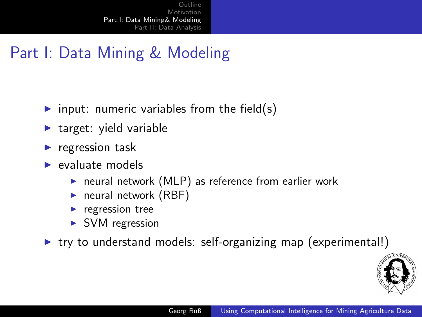### Part I: Data Mining & Modeling

- input: numeric variables from the field(s)
- $\blacktriangleright$  target: yield variable
- regression task
- $\blacktriangleright$  evaluate models
	- ▶ neural network (MLP) as reference from earlier work
	- $\blacktriangleright$  neural network (RBF)
	- $\blacktriangleright$  regression tree
	- ► SVM regression
- $\triangleright$  try to understand models: self-organizing map (experimental!)

<span id="page-5-0"></span>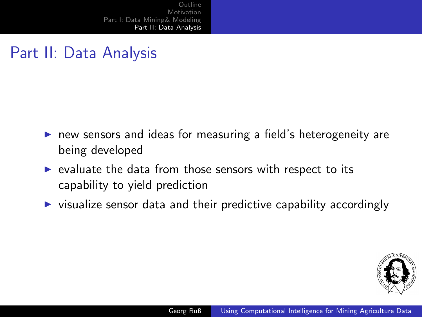## Part II: Data Analysis

- ▶ new sensors and ideas for measuring a field's heterogeneity are being developed
- $\triangleright$  evaluate the data from those sensors with respect to its capability to yield prediction
- $\triangleright$  visualize sensor data and their predictive capability accordingly

<span id="page-6-0"></span>